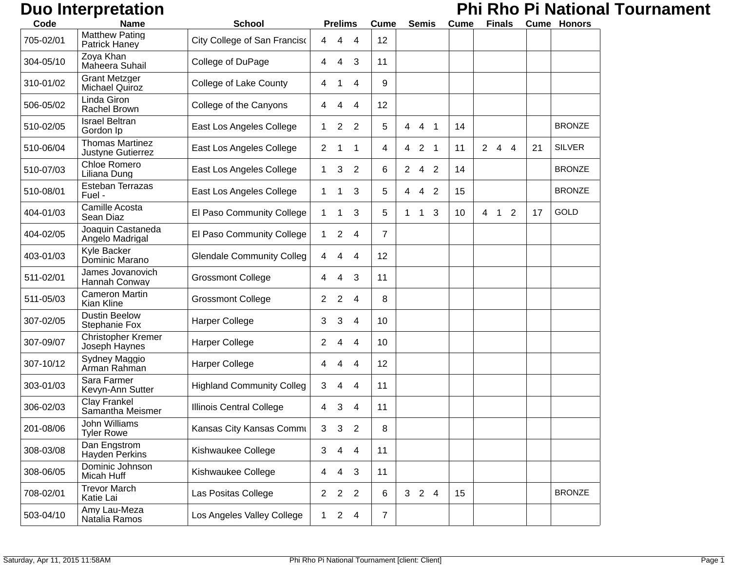## **Duo Interpretation Phi Rho Pi National Tournament**

| Code      | <b>Name</b>                                   | <b>School</b>                    |                | <b>Prelims</b> |                | <b>Cume</b>     |                       | <b>Semis</b>                     |                | <b>Cume</b> |                | <b>Finals</b> |                |    | <b>Cume Honors</b> |
|-----------|-----------------------------------------------|----------------------------------|----------------|----------------|----------------|-----------------|-----------------------|----------------------------------|----------------|-------------|----------------|---------------|----------------|----|--------------------|
| 705-02/01 | <b>Matthew Pating</b><br>Patrick Haney        | City College of San Franciso     | 4              | 4              | 4              | 12              |                       |                                  |                |             |                |               |                |    |                    |
| 304-05/10 | Zoya Khan<br>Maheera Suhail                   | College of DuPage                | 4              | 4              | 3              | 11              |                       |                                  |                |             |                |               |                |    |                    |
| 310-01/02 | <b>Grant Metzger</b><br><b>Michael Quiroz</b> | College of Lake County           | 4              | 1              | 4              | 9               |                       |                                  |                |             |                |               |                |    |                    |
| 506-05/02 | Linda Giron<br>Rachel Brown                   | College of the Canyons           | 4              | 4              | 4              | 12              |                       |                                  |                |             |                |               |                |    |                    |
| 510-02/05 | <b>Israel Beltran</b><br>Gordon Ip            | East Los Angeles College         | 1              | 2              | 2              | 5               | 4                     | 4                                | $\overline{1}$ | 14          |                |               |                |    | <b>BRONZE</b>      |
| 510-06/04 | <b>Thomas Martinez</b><br>Justyne Gutierrez   | East Los Angeles College         | $\overline{2}$ | 1              | 1              | $\overline{4}$  | 4                     | $\overline{2}$<br>$\overline{1}$ |                | 11          | $2^{\circ}$    | 4             | $\overline{4}$ | 21 | <b>SILVER</b>      |
| 510-07/03 | Chloe Romero<br>Liliana Dung                  | East Los Angeles College         | 1              | 3              | 2              | 6               | $\mathbf{2}^{\prime}$ | $\overline{2}$<br>$\overline{4}$ |                | 14          |                |               |                |    | <b>BRONZE</b>      |
| 510-08/01 | <b>Esteban Terrazas</b><br>Fuel -             | East Los Angeles College         | 1              | 1              | 3              | 5               | 4                     | 4 <sub>2</sub>                   |                | 15          |                |               |                |    | <b>BRONZE</b>      |
| 404-01/03 | Camille Acosta<br>Sean Diaz                   | El Paso Community College        | 1.             | 1              | 3              | 5               | 1                     | $\mathbf{1}$                     | 3              | 10          | $\overline{4}$ | $\mathbf{1}$  | $\overline{2}$ | 17 | <b>GOLD</b>        |
| 404-02/05 | Joaquin Castaneda<br>Angelo Madrigal          | El Paso Community College        | 1.             | $\overline{2}$ | 4              | $\overline{7}$  |                       |                                  |                |             |                |               |                |    |                    |
| 403-01/03 | Kyle Backer<br>Dominic Marano                 | <b>Glendale Community Colleg</b> | 4              | 4              | 4              | 12              |                       |                                  |                |             |                |               |                |    |                    |
| 511-02/01 | James Jovanovich<br>Hannah Conway             | <b>Grossmont College</b>         | 4              | 4              | 3              | 11              |                       |                                  |                |             |                |               |                |    |                    |
| 511-05/03 | <b>Cameron Martin</b><br>Kian Kline           | <b>Grossmont College</b>         | $\overline{2}$ | 2              | 4              | 8               |                       |                                  |                |             |                |               |                |    |                    |
| 307-02/05 | <b>Dustin Beelow</b><br>Stephanie Fox         | <b>Harper College</b>            | 3              | 3              | 4              | 10 <sup>°</sup> |                       |                                  |                |             |                |               |                |    |                    |
| 307-09/07 | <b>Christopher Kremer</b><br>Joseph Haynes    | Harper College                   | 2              | 4              | 4              | 10 <sup>°</sup> |                       |                                  |                |             |                |               |                |    |                    |
| 307-10/12 | Sydney Maggio<br>Arman Rahman                 | <b>Harper College</b>            | 4              | 4              | 4              | 12              |                       |                                  |                |             |                |               |                |    |                    |
| 303-01/03 | Sara Farmer<br>Kevyn-Ann Sutter               | <b>Highland Community Colleg</b> | 3              | 4              | 4              | 11              |                       |                                  |                |             |                |               |                |    |                    |
| 306-02/03 | <b>Clay Frankel</b><br>Samantha Meismer       | Illinois Central College         | 4              | 3              | 4              | 11              |                       |                                  |                |             |                |               |                |    |                    |
| 201-08/06 | John Williams<br><b>Tyler Rowe</b>            | Kansas City Kansas Commu         | 3              | 3              | 2              | 8               |                       |                                  |                |             |                |               |                |    |                    |
| 308-03/08 | Dan Engstrom<br><b>Hayden Perkins</b>         | Kishwaukee College               | 3 <sup>1</sup> | 4              | $\overline{4}$ | 11              |                       |                                  |                |             |                |               |                |    |                    |
| 308-06/05 | Dominic Johnson<br>Micah Huff                 | Kishwaukee College               | 4              | 4              | 3              | 11              |                       |                                  |                |             |                |               |                |    |                    |
| 708-02/01 | <b>Trevor March</b><br>Katie Lai              | Las Positas College              |                | $2\quad 2$     | $\overline{2}$ | 6               |                       | $3 \quad 2 \quad 4$              |                | 15          |                |               |                |    | <b>BRONZE</b>      |
| 503-04/10 | Amy Lau-Meza<br>Natalia Ramos                 | Los Angeles Valley College       | 1.             | $2^{\circ}$    | $\overline{4}$ | $\overline{7}$  |                       |                                  |                |             |                |               |                |    |                    |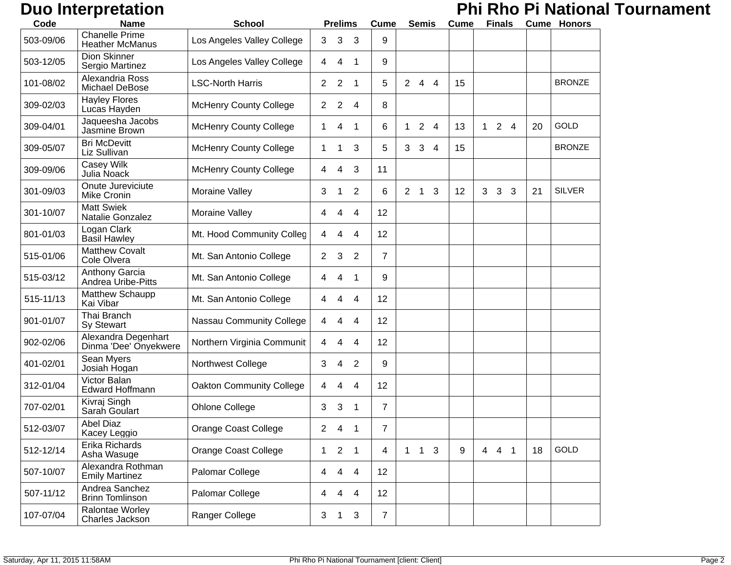## **Duo Interpretation Phi Rho Pi National Tournament**

| Code      | <b>Name</b>                                        | <b>School</b>                   | <b>Prelims</b> |                     | Cume           | <b>Semis</b>   |             | <b>Cume</b>         | <b>Finals</b>  |    |                |     | <b>Cume Honors</b> |    |               |
|-----------|----------------------------------------------------|---------------------------------|----------------|---------------------|----------------|----------------|-------------|---------------------|----------------|----|----------------|-----|--------------------|----|---------------|
| 503-09/06 | <b>Chanelle Prime</b><br><b>Heather McManus</b>    | Los Angeles Valley College      | 3              | 3                   | 3              | 9              |             |                     |                |    |                |     |                    |    |               |
| 503-12/05 | Dion Skinner<br>Sergio Martinez                    | Los Angeles Valley College      | 4              | 4                   | -1             | 9              |             |                     |                |    |                |     |                    |    |               |
| 101-08/02 | Alexandria Ross<br>Michael DeBose                  | <b>LSC-North Harris</b>         | $\mathbf{2}$   | 2                   | $\mathbf 1$    | 5              |             | $2 \quad 4 \quad 4$ |                | 15 |                |     |                    |    | <b>BRONZE</b> |
| 309-02/03 | <b>Hayley Flores</b><br>Lucas Hayden               | <b>McHenry County College</b>   | $\overline{2}$ | 2                   | 4              | 8              |             |                     |                |    |                |     |                    |    |               |
| 309-04/01 | Jaqueesha Jacobs<br>Jasmine Brown                  | <b>McHenry County College</b>   | 1              | 4                   | -1             | 6              | 1.          | $\overline{2}$      | $\overline{4}$ | 13 | $\mathbf{1}$   | 2   | $\overline{4}$     | 20 | <b>GOLD</b>   |
| 309-05/07 | <b>Bri McDevitt</b><br>Liz Sullivan                | <b>McHenry County College</b>   | 1              | 1                   | 3              | 5              | 3           | $\mathbf{3}$        | $\overline{4}$ | 15 |                |     |                    |    | <b>BRONZE</b> |
| 309-09/06 | Casey Wilk<br>Julia Noack                          | <b>McHenry County College</b>   | 4              | 4                   | 3              | 11             |             |                     |                |    |                |     |                    |    |               |
| 301-09/03 | Onute Jureviciute<br>Mike Cronin                   | Moraine Valley                  | 3              | 1                   | 2              | 6              | $2^{\circ}$ | $\mathbf{1}$        | 3              | 12 | 3              | 3   | $\mathbf{3}$       | 21 | <b>SILVER</b> |
| 301-10/07 | <b>Matt Swiek</b><br>Natalie Gonzalez              | Moraine Valley                  | 4              | 4                   | 4              | 12             |             |                     |                |    |                |     |                    |    |               |
| 801-01/03 | Logan Clark<br><b>Basil Hawley</b>                 | Mt. Hood Community Colleg       | 4              | 4                   | 4              | 12             |             |                     |                |    |                |     |                    |    |               |
| 515-01/06 | <b>Matthew Covalt</b><br>Cole Olvera               | Mt. San Antonio College         | $\overline{2}$ | 3                   | 2              | $\overline{7}$ |             |                     |                |    |                |     |                    |    |               |
| 515-03/12 | <b>Anthony Garcia</b><br><b>Andrea Uribe-Pitts</b> | Mt. San Antonio College         | 4              | 4                   | -1             | 9              |             |                     |                |    |                |     |                    |    |               |
| 515-11/13 | Matthew Schaupp<br>Kai Vibar                       | Mt. San Antonio College         | 4              | 4                   | 4              | 12             |             |                     |                |    |                |     |                    |    |               |
| 901-01/07 | Thai Branch<br><b>Sy Stewart</b>                   | <b>Nassau Community College</b> | 4              | 4                   | 4              | 12             |             |                     |                |    |                |     |                    |    |               |
| 902-02/06 | Alexandra Degenhart<br>Dinma 'Dee' Onyekwere       | Northern Virginia Communit      | 4              | 4                   | 4              | 12             |             |                     |                |    |                |     |                    |    |               |
| 401-02/01 | Sean Myers<br>Josiah Hogan                         | Northwest College               | 3              | 4                   | 2              | 9              |             |                     |                |    |                |     |                    |    |               |
| 312-01/04 | Victor Balan<br><b>Edward Hoffmann</b>             | <b>Oakton Community College</b> | 4              | 4                   | 4              | 12             |             |                     |                |    |                |     |                    |    |               |
| 707-02/01 | Kivraj Singh<br>Sarah Goulart                      | <b>Ohlone College</b>           | 3              | 3                   | -1             | $\overline{7}$ |             |                     |                |    |                |     |                    |    |               |
| 512-03/07 | <b>Abel Diaz</b><br>Kacey Leggio                   | Orange Coast College            | $\overline{2}$ | 4                   | 1              | 7              |             |                     |                |    |                |     |                    |    |               |
| 512-12/14 | Erika Richards<br>Asha Wasuge                      | Orange Coast College            |                | $1 \quad 2 \quad 1$ |                | 4              |             | $1 \quad 1 \quad 3$ |                | 9  | $\overline{4}$ | 4 1 |                    | 18 | GOLD          |
| 507-10/07 | Alexandra Rothman<br><b>Emily Martinez</b>         | Palomar College                 | 4              | 4                   | $\overline{4}$ | 12             |             |                     |                |    |                |     |                    |    |               |
| 507-11/12 | Andrea Sanchez<br><b>Brinn Tomlinson</b>           | Palomar College                 | 4              | 4                   | $\overline{4}$ | 12             |             |                     |                |    |                |     |                    |    |               |
| 107-07/04 | Ralontae Worley<br>Charles Jackson                 | Ranger College                  | 3              | 1                   | 3              | $\overline{7}$ |             |                     |                |    |                |     |                    |    |               |